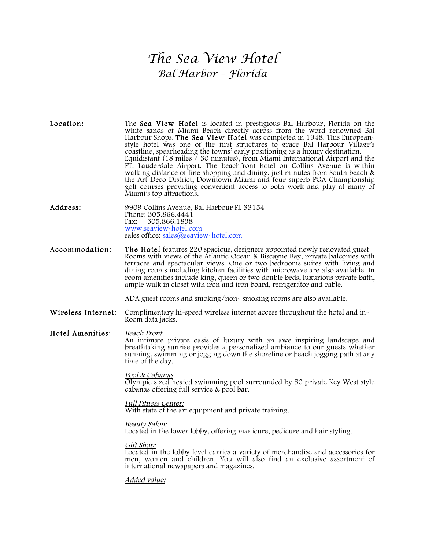## *The Sea View Hotel Bal Harbor – Florida*

| Location:          | The <b>Sea View Hotel</b> is located in prestigious Bal Harbour, Florida on the<br>white sands of Miami Beach directly across from the word renowned Bal<br>Harbour Shops. The Sea View Hotel was completed in 1948. This European-<br>style hotel was one of the first structures to grace Bal Harbour Village's<br>coastline, spearheading the towns' early positioning as a luxury destination.<br>Equidistant (18 miles $\frac{7}{30}$ minutes), from Miami International Airport and the<br>FT. Lauderdale Airport. The beachfront hotel on Collins Avenue is within<br>walking distance of fine shopping and dining, just minutes from South beach &<br>the Art Deco District, Downtown Miami and four superb PGA Championship<br>golf courses providing convenient access to both work and play at many of<br>Miami's top attractions. |
|--------------------|-----------------------------------------------------------------------------------------------------------------------------------------------------------------------------------------------------------------------------------------------------------------------------------------------------------------------------------------------------------------------------------------------------------------------------------------------------------------------------------------------------------------------------------------------------------------------------------------------------------------------------------------------------------------------------------------------------------------------------------------------------------------------------------------------------------------------------------------------|
| Address:           | 9909 Collins Avenue, Bal Harbour FL 33154<br>Phone: 305.866.4441<br>Fax:<br>305.866.1898<br>www.seaview~hotel.com<br>sales office: sales@seaview~hotel.com                                                                                                                                                                                                                                                                                                                                                                                                                                                                                                                                                                                                                                                                                    |
| Accommodation:     | <b>The Hotel</b> features 220 spacious, designers appointed newly renovated guest<br>Rooms with views of the Atlantic Ocean & Biscayne Bay, private balconies with<br>terraces and spectacular views. One or two bedrooms suites with living and<br>dining rooms including kitchen facilities with microwave are also available. In<br>room amenities include king, queen or two double beds, luxurious private bath,<br>ample walk in closet with iron and iron board, refrigerator and cable.                                                                                                                                                                                                                                                                                                                                               |
|                    | ADA guest rooms and smoking/non-smoking rooms are also available.                                                                                                                                                                                                                                                                                                                                                                                                                                                                                                                                                                                                                                                                                                                                                                             |
| Wireless Internet: | Complimentary hi-speed wireless internet access throughout the hotel and in-<br>Room data jacks.                                                                                                                                                                                                                                                                                                                                                                                                                                                                                                                                                                                                                                                                                                                                              |
| Hotel Amenities:   | Beach Front<br>An intimate private oasis of luxury with an awe inspiring landscape and<br>breathtaking sunrise provides a personalized ambiance to our guests whether<br>sunning, swimming or jogging down the shoreline or beach jogging path at any<br>time of the day.<br>Pool & Cabanas                                                                                                                                                                                                                                                                                                                                                                                                                                                                                                                                                   |
|                    | Olympic sized heated swimming pool surrounded by 50 private Key West style<br>cabanas offering full service & pool bar.                                                                                                                                                                                                                                                                                                                                                                                                                                                                                                                                                                                                                                                                                                                       |
|                    | <i>Full Fitness Center:</i><br>With state of the art equipment and private training.                                                                                                                                                                                                                                                                                                                                                                                                                                                                                                                                                                                                                                                                                                                                                          |
|                    | <i>Beauty Salon:</i><br>Located in the lower lobby, offering manicure, pedicure and hair styling.                                                                                                                                                                                                                                                                                                                                                                                                                                                                                                                                                                                                                                                                                                                                             |
|                    | <u>Gift Shop:</u><br>Located in the lobby level carries a variety of merchandise and accessories for<br>men, women and children. You will also find an exclusive assortment of<br>international newspapers and magazines.                                                                                                                                                                                                                                                                                                                                                                                                                                                                                                                                                                                                                     |

Added value: